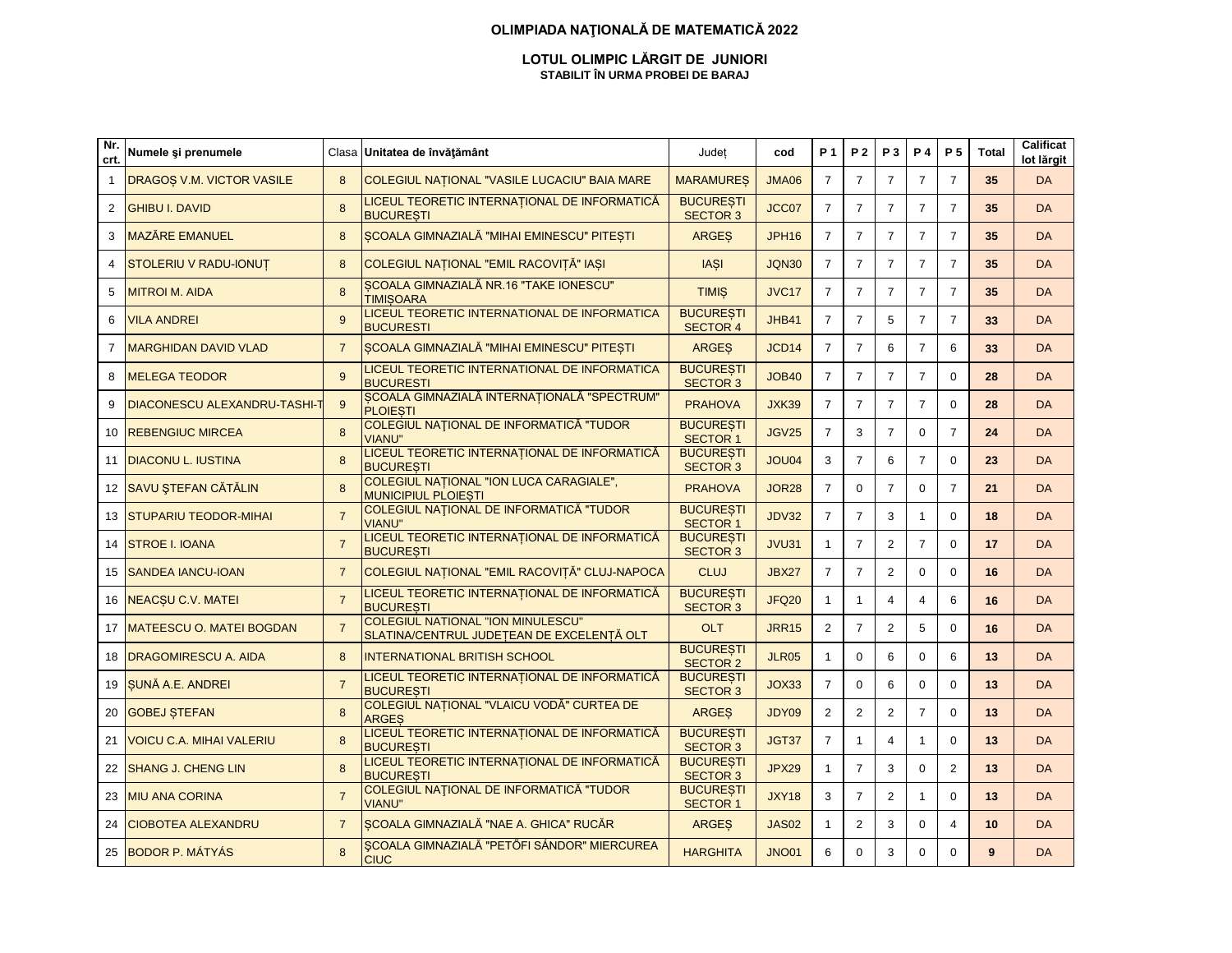#### **OLIMPIADA NAŢIONALĂ DE MATEMATICĂ 2022**

#### **LOTUL OLIMPIC LĂRGIT DE JUNIORI STABILIT ÎN URMA PROBEI DE BARAJ**

| Nr.<br>crt.  | Numele și prenumele                 | Clasa          | Unitatea de învățământ                                                                | Judet<br>cod                        |              | <b>P</b> 1     | <b>P2</b>      | <b>P3</b>      | <b>P4</b>      | P <sub>5</sub> | Total | Calificat<br>lot lărgit |
|--------------|-------------------------------------|----------------|---------------------------------------------------------------------------------------|-------------------------------------|--------------|----------------|----------------|----------------|----------------|----------------|-------|-------------------------|
| $\mathbf{1}$ | DRAGOS V.M. VICTOR VASILE           | 8              | COLEGIUL NAȚIONAL "VASILE LUCACIU" BAIA MARE                                          | <b>MARAMURES</b>                    | <b>JMA06</b> | $\overline{7}$ | $\overline{7}$ | $\overline{7}$ | $\overline{7}$ | $\overline{7}$ | 35    | <b>DA</b>               |
| 2            | <b>GHIBU I. DAVID</b>               | 8              | LICEUL TEORETIC INTERNATIONAL DE INFORMATICĂ<br><b>BUCURESTI</b>                      | <b>BUCURESTI</b><br><b>SECTOR 3</b> | JCC07        | $\overline{7}$ | $\overline{7}$ | $\overline{7}$ | $\overline{7}$ | $\overline{7}$ | 35    | <b>DA</b>               |
| 3            | <b>MAZĂRE EMANUEL</b>               | 8              | ȘCOALA GIMNAZIALĂ "MIHAI EMINESCU" PITEȘTI                                            | <b>ARGES</b>                        | <b>JPH16</b> | $\overline{7}$ | $\overline{7}$ | $\overline{7}$ | $\overline{7}$ | $\overline{7}$ | 35    | <b>DA</b>               |
| 4            | STOLERIU V RADU-IONUT               | 8              | COLEGIUL NAȚIONAL "EMIL RACOVIȚĂ" IAȘI                                                | <b>IASI</b>                         | <b>JQN30</b> | $\overline{7}$ | $\overline{7}$ | $\overline{7}$ | $\overline{7}$ | $\overline{7}$ | 35    | <b>DA</b>               |
| 5            | <b>MITROI M. AIDA</b>               | $\mathbf{8}$   | SCOALA GIMNAZIALĂ NR.16 "TAKE IONESCU"<br><b>TIMISOARA</b>                            | <b>TIMIS</b>                        | <b>JVC17</b> | $\overline{7}$ | $\overline{7}$ | $\overline{7}$ | $\overline{7}$ | $\overline{7}$ | 35    | <b>DA</b>               |
| 6            | <b>VILA ANDREI</b>                  | 9              | LICEUL TEORETIC INTERNATIONAL DE INFORMATICA<br><b>BUCURESTI</b>                      | <b>BUCURESTI</b><br><b>SECTOR 4</b> | JHB41        | $\overline{7}$ | $\overline{7}$ | 5              | $\overline{7}$ | $\overline{7}$ | 33    | <b>DA</b>               |
| 7            | <b>MARGHIDAN DAVID VLAD</b>         | $\overline{7}$ | SCOALA GIMNAZIALĂ "MIHAI EMINESCU" PITEȘTI                                            | <b>ARGES</b>                        | JCD14        | $\overline{7}$ | $\overline{7}$ | 6              | $\overline{7}$ | 6              | 33    | <b>DA</b>               |
| 8            | <b>MELEGA TEODOR</b>                | 9              | LICEUL TEORETIC INTERNATIONAL DE INFORMATICA<br><b>BUCURESTI</b>                      | <b>BUCURESTI</b><br><b>SECTOR 3</b> | <b>JOB40</b> | $\overline{7}$ | $\overline{7}$ | $\overline{7}$ | $\overline{7}$ | $\mathbf 0$    | 28    | <b>DA</b>               |
| 9            | <b>DIACONESCU ALEXANDRU-TASHI-1</b> | 9              | SCOALA GIMNAZIALĂ INTERNATIONALĂ "SPECTRUM"<br><b>PLOIESTI</b>                        | <b>PRAHOVA</b>                      | JXK39        | $\overline{7}$ | $\overline{7}$ | $\overline{7}$ | $\overline{7}$ | $\mathbf 0$    | 28    | <b>DA</b>               |
| 10           | <b>REBENGIUC MIRCEA</b>             | 8              | COLEGIUL NAȚIONAL DE INFORMATICĂ "TUDOR<br><b>VIANU"</b>                              | <b>BUCURESTI</b><br><b>SECTOR 1</b> | <b>JGV25</b> | $\overline{7}$ | 3              | $\overline{7}$ | 0              | $\overline{7}$ | 24    | <b>DA</b>               |
| 11           | <b>DIACONU L. IUSTINA</b>           | $\mathbf{8}$   | LICEUL TEORETIC INTERNAȚIONAL DE INFORMATICĂ<br><b>BUCUREȘTI</b>                      | <b>BUCURESTI</b><br><b>SECTOR 3</b> | JOU04        | 3              | $\overline{7}$ | 6              | $\overline{7}$ | $\Omega$       | 23    | <b>DA</b>               |
| 12           | <b>SAVU ȘTEFAN CĂTĂLIN</b>          | $\mathbf{8}$   | <b>COLEGIUL NATIONAL "ION LUCA CARAGIALE",</b><br><b>MUNICIPIUL PLOIEȘTI</b>          | <b>PRAHOVA</b>                      | <b>JOR28</b> | $\overline{7}$ | $\Omega$       | $\overline{7}$ | 0              | $\overline{7}$ | 21    | <b>DA</b>               |
| 13           | <b>STUPARIU TEODOR-MIHAI</b>        | $\overline{7}$ | <b>COLEGIUL NAȚIONAL DE INFORMATICĂ "TUDOR</b><br><b>VIANU"</b>                       | <b>BUCURESTI</b><br><b>SECTOR 1</b> | <b>JDV32</b> | $\overline{7}$ | $\overline{7}$ | 3              | 1              | $\mathbf 0$    | 18    | <b>DA</b>               |
| 14           | <b>STROE I. IOANA</b>               | $\overline{7}$ | LICEUL TEORETIC INTERNAȚIONAL DE INFORMATICĂ<br><b>BUCURESTI</b>                      | <b>BUCURESTI</b><br><b>SECTOR 3</b> | <b>JVU31</b> | $\mathbf{1}$   | $\overline{7}$ | $\overline{2}$ | $\overline{7}$ | $\Omega$       | 17    | <b>DA</b>               |
| 15           | <b>SANDEA IANCU-IOAN</b>            | $\overline{7}$ | COLEGIUL NAȚIONAL "EMIL RACOVIȚĂ" CLUJ-NAPOCA                                         | <b>CLUJ</b>                         | <b>JBX27</b> | $\overline{7}$ | $\overline{7}$ | 2              | 0              | $\mathbf 0$    | 16    | <b>DA</b>               |
| 16           | <b>NEACSU C.V. MATEI</b>            | $\overline{7}$ | LICEUL TEORETIC INTERNAȚIONAL DE INFORMATICĂ<br><b>BUCURESTI</b>                      | <b>BUCURESTI</b><br><b>SECTOR 3</b> | <b>JFQ20</b> | $\mathbf{1}$   | $\mathbf{1}$   | $\overline{4}$ | $\overline{4}$ | 6              | 16    | <b>DA</b>               |
| 17           | <b>MATEESCU O. MATEI BOGDAN</b>     | $\overline{7}$ | <b>COLEGIUL NATIONAL "ION MINULESCU"</b><br>SLATINA/CENTRUL JUDEȚEAN DE EXCELENȚĂ OLT | <b>OLT</b>                          | <b>JRR15</b> | $\overline{2}$ | $\overline{7}$ | 2              | 5              | $\mathbf 0$    | 16    | <b>DA</b>               |
| 18           | <b>DRAGOMIRESCU A. AIDA</b>         | $\mathsf{R}$   | <b>INTERNATIONAL BRITISH SCHOOL</b>                                                   | <b>BUCURESTI</b><br><b>SECTOR 2</b> | <b>JLR05</b> | $\mathbf 1$    | $\Omega$       | 6              | $\Omega$       | 6              | 13    | <b>DA</b>               |
| 19           | SUNĂ A.E. ANDREI                    | $\overline{7}$ | LICEUL TEORETIC INTERNATIONAL DE INFORMATICĂ<br><b>BUCURESTI</b>                      | <b>BUCURESTI</b><br><b>SECTOR 3</b> | JOX33        | $\overline{7}$ | $\mathbf 0$    | 6              | 0              | $\mathbf 0$    | 13    | <b>DA</b>               |
| 20           | <b>GOBEJ STEFAN</b>                 | 8              | <b>COLEGIUL NATIONAL "VLAICU VODĂ" CURTEA DE</b><br><b>ARGES</b>                      | <b>ARGES</b>                        | JDY09        | $\overline{2}$ | $\overline{2}$ | $\overline{2}$ | $\overline{7}$ | $\Omega$       | 13    | <b>DA</b>               |
| 21           | <b>VOICU C.A. MIHAI VALERIU</b>     | 8              | LICEUL TEORETIC INTERNAȚIONAL DE INFORMATICĂ<br><b>BUCURESTI</b>                      | <b>BUCURESTI</b><br><b>SECTOR 3</b> | JGT37        | $\overline{7}$ | $\mathbf{1}$   | $\overline{4}$ | $\mathbf{1}$   | $\Omega$       | 13    | <b>DA</b>               |
| 22           | <b>SHANG J. CHENG LIN</b>           | 8              | LICEUL TEORETIC INTERNAȚIONAL DE INFORMATICĂ<br><b>BUCURESTI</b>                      | <b>BUCURESTI</b><br><b>SECTOR 3</b> | <b>JPX29</b> | $\mathbf{1}$   | $\overline{7}$ | 3              | $\Omega$       | $\overline{2}$ | 13    | <b>DA</b>               |
| 23           | <b>MIU ANA CORINA</b>               | $\overline{7}$ | COLEGIUL NAȚIONAL DE INFORMATICĂ "TUDOR<br><b>VIANU"</b>                              | <b>BUCURESTI</b><br><b>SECTOR 1</b> | <b>JXY18</b> | 3              | $\overline{7}$ | 2              | $\mathbf{1}$   | $\Omega$       | 13    | <b>DA</b>               |
| 24           | <b>CIOBOTEA ALEXANDRU</b>           | $\overline{7}$ | ȘCOALA GIMNAZIALĂ "NAE A. GHICA" RUCĂR                                                | <b>ARGES</b>                        | <b>JAS02</b> | $\mathbf{1}$   | $\overline{2}$ | 3              | 0              | 4              | 10    | <b>DA</b>               |
| 25           | <b>BODOR P. MÁTYÁS</b>              | 8              | <b>ȘCOALA GIMNAZIALĂ "PETŐFI SÁNDOR" MIERCUREA</b><br><b>CIUC</b>                     | <b>HARGHITA</b>                     | <b>JNO01</b> | 6              | $\Omega$       | 3              | 0              | 0              | 9     | <b>DA</b>               |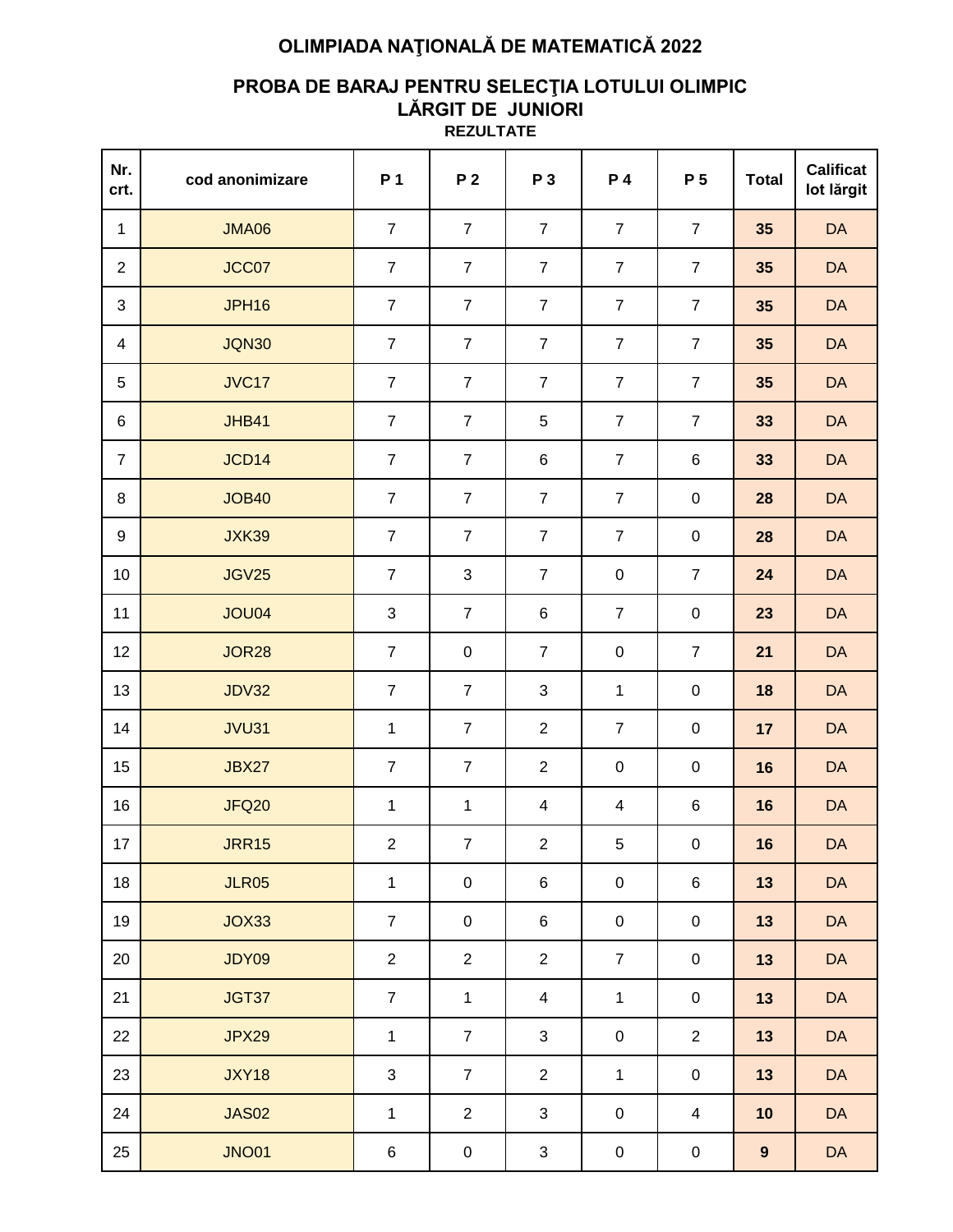# **OLIMPIADA NAŢIONALĂ DE MATEMATICĂ 2022**

### **PROBA DE BARAJ PENTRU SELECŢIA LOTULUI OLIMPIC LĂRGIT DE JUNIORI REZULTATE**

| Nr.<br>crt.     | cod anonimizare | P 1              | P <sub>2</sub> | P 3              | P 4              | P 5            | <b>Total</b> | <b>Calificat</b><br>lot lărgit |  |
|-----------------|-----------------|------------------|----------------|------------------|------------------|----------------|--------------|--------------------------------|--|
| $\mathbf{1}$    | <b>JMA06</b>    | $\overline{7}$   | $\overline{7}$ | $\overline{7}$   | $\overline{7}$   | $\overline{7}$ | 35           | DA                             |  |
| $\overline{2}$  | JCC07           | $\overline{7}$   | $\overline{7}$ | $\overline{7}$   | $\overline{7}$   | $\overline{7}$ | 35           | <b>DA</b>                      |  |
| $\mathfrak{S}$  | <b>JPH16</b>    | $\overline{7}$   | $\overline{7}$ | $\overline{7}$   | $\overline{7}$   | $\overline{7}$ | 35           | <b>DA</b>                      |  |
| 4               | <b>JQN30</b>    | $\overline{7}$   | $\overline{7}$ | $\overline{7}$   | $\overline{7}$   | $\overline{7}$ | 35           | DA                             |  |
| 5               | <b>JVC17</b>    | $\overline{7}$   | $\overline{7}$ | $\overline{7}$   | $\overline{7}$   | $\overline{7}$ | 35           | DA                             |  |
| 6               | <b>JHB41</b>    | $\overline{7}$   | $\overline{7}$ | 5                | $\overline{7}$   | $\overline{7}$ | 33           | DA                             |  |
| $\overline{7}$  | JCD14           | $\overline{7}$   | $\overline{7}$ | $\,6$            | $\overline{7}$   | 6              | 33           | DA                             |  |
| 8               | <b>JOB40</b>    | $\overline{7}$   | $\overline{7}$ | $\overline{7}$   | $\overline{7}$   | $\pmb{0}$      | 28           | DA                             |  |
| 9               | <b>JXK39</b>    | $\boldsymbol{7}$ | $\overline{7}$ | $\boldsymbol{7}$ | $\boldsymbol{7}$ | $\pmb{0}$      | 28           | DA                             |  |
| 10              | <b>JGV25</b>    | $\overline{7}$   | $\mathfrak{S}$ | $\overline{7}$   | $\pmb{0}$        | $\overline{7}$ | 24           | DA                             |  |
| 11              | <b>JOU04</b>    | $\mathbf{3}$     | $\overline{7}$ | $\,6$            | $\overline{7}$   | $\pmb{0}$      | 23           | DA                             |  |
| 12              | <b>JOR28</b>    | $\overline{7}$   | $\mathbf 0$    | $\overline{7}$   | $\pmb{0}$        | $\overline{7}$ | 21           | DA                             |  |
| 13              | <b>JDV32</b>    | $\overline{7}$   | $\overline{7}$ | $\sqrt{3}$       | $\mathbf{1}$     | $\pmb{0}$      | 18           | DA                             |  |
| 14              | <b>JVU31</b>    | $\mathbf{1}$     | $\overline{7}$ | $\overline{2}$   | $\overline{7}$   | $\pmb{0}$      | 17           | DA                             |  |
| 15              | <b>JBX27</b>    | $\overline{7}$   | $\overline{7}$ | $\overline{2}$   | $\pmb{0}$        | $\pmb{0}$      | 16           | DA                             |  |
| 16              | <b>JFQ20</b>    | $\mathbf{1}$     | $\mathbf{1}$   | 4                | 4                | 6              | 16           | DA                             |  |
| 17 <sub>1</sub> | <b>JRR15</b>    | $\overline{2}$   | $\overline{7}$ | $\overline{2}$   | 5                | $\overline{0}$ | 16           | $\mathsf{DA}$                  |  |
| 18              | <b>JLR05</b>    | $\mathbf{1}$     | $\mathsf 0$    | 6                | $\pmb{0}$        | $\,6$          | 13           | DA                             |  |
| 19              | JOX33           | $\overline{7}$   | $\pmb{0}$      | 6                | $\pmb{0}$        | $\pmb{0}$      | 13           | DA                             |  |
| 20              | JDY09           | $\overline{2}$   | $\overline{2}$ | $\overline{2}$   | $\overline{7}$   | $\pmb{0}$      | 13           | DA                             |  |
| 21              | JGT37           | $\overline{7}$   | 1              | 4                | $\mathbf{1}$     | $\pmb{0}$      | 13           | <b>DA</b>                      |  |
| 22              | <b>JPX29</b>    | $\mathbf{1}$     | $\overline{7}$ | 3                | $\mathbf 0$      | $\overline{2}$ | 13           | <b>DA</b>                      |  |
| 23              | <b>JXY18</b>    | 3                | $\overline{7}$ | $\overline{2}$   | $\mathbf{1}$     | $\pmb{0}$      | 13           | <b>DA</b>                      |  |
| 24              | <b>JAS02</b>    | $\mathbf{1}$     | $\overline{2}$ | 3                | $\pmb{0}$        | 4              | 10           | <b>DA</b>                      |  |
| 25              | <b>JNO01</b>    | 6                | $\pmb{0}$      | 3                | $\pmb{0}$        | $\pmb{0}$      | 9            | DA                             |  |